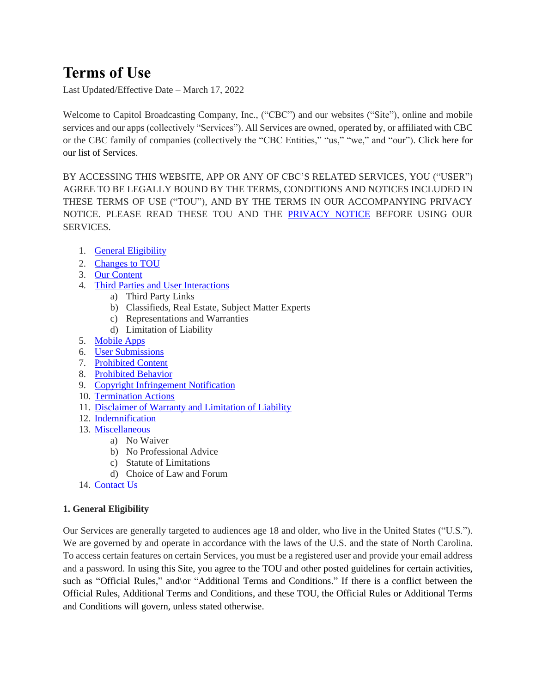# **Terms of Use**

Last Updated/Effective Date – March 17, 2022

Welcome to Capitol Broadcasting Company, Inc., ("CBC") and our websites ("Site"), online and mobile services and our apps (collectively "Services"). All Services are owned, operated by, or affiliated with CBC or the CBC family of companies (collectively the "CBC Entities," "us," "we," and "our"). [Click here](file:///C:/Users/jvenable/AppData/Local/Microsoft/Windows/INetCache/Content.Outlook/7TJ0U9E1/Click%20here) for our list of Services.

BY ACCESSING THIS WEBSITE, APP OR ANY OF CBC'S RELATED SERVICES, YOU ("USER") AGREE TO BE LEGALLY BOUND BY THE TERMS, CONDITIONS AND NOTICES INCLUDED IN THESE TERMS OF USE ("TOU"), AND BY THE TERMS IN OUR ACCOMPANYING PRIVACY NOTICE. PLEASE READ THESE TOU AND THE [PRIVACY NOTICE](https://www.wral.com/rs/page/1020577/) BEFORE USING OUR SERVICES.

- 1. [General Eligibility](#page-0-0)
- 2. [Changes to TOU](#page-1-0)
- 3. [Our Content](#page-1-1)
- 4. Third Parties and User [Interactions](#page-1-2)
	- a) Third Party Links
		- b) Classifieds, Real Estate, Subject Matter Experts
	- c) Representations and Warranties
	- d) Limitation of Liability
- 5. [Mobile Apps](#page-1-3)
- 6. [User Submissions](#page-2-0)
- 7. [Prohibited Content](#page-2-1)
- 8. [Prohibited Behavior](#page-3-0)
- 9. Copyright [Infringement Notification](#page-4-0)
- 10. [Termination Actions](#page-4-1)
- 11. [Disclaimer of Warranty and Limitation of Liability](#page-4-2)
- 12. [Indemnification](#page-5-0)
- 13. [Miscellaneous](#page-5-1)
	- a) No Waiver
		- b) No Professional Advice
		- c) Statute of Limitations
		- d) Choice of Law and Forum
- 14. [Contact Us](#page-5-2)

# <span id="page-0-0"></span>**1. General Eligibility**

Our Services are generally targeted to audiences age 18 and older, who live in the United States ("U.S."). We are governed by and operate in accordance with the laws of the U.S. and the state of North Carolina. To access certain features on certain Services, you must be a registered user and provide your email address and a password. In using this Site, you agree to the TOU and other posted guidelines for certain activities, such as "Official Rules," and\or "Additional Terms and Conditions." If there is a conflict between the Official Rules, Additional Terms and Conditions, and these TOU, the Official Rules or Additional Terms and Conditions will govern, unless stated otherwise.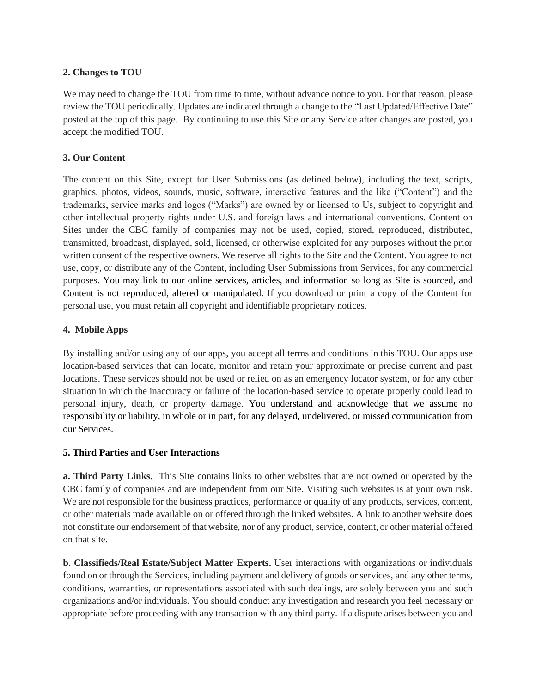# <span id="page-1-0"></span>**2. Changes to TOU**

We may need to change the TOU from time to time, without advance notice to you. For that reason, please review the TOU periodically. Updates are indicated through a change to the "Last Updated/Effective Date" posted at the top of this page. By continuing to use this Site or any Service after changes are posted, you accept the modified TOU.

## <span id="page-1-1"></span>**3. Our Content**

The content on this Site, except for User Submissions (as defined below), including the text, scripts, graphics, photos, videos, sounds, music, software, interactive features and the like ("Content") and the trademarks, service marks and logos ("Marks") are owned by or licensed to Us, subject to copyright and other intellectual property rights under U.S. and foreign laws and international conventions. Content on Sites under the CBC family of companies may not be used, copied, stored, reproduced, distributed, transmitted, broadcast, displayed, sold, licensed, or otherwise exploited for any purposes without the prior written consent of the respective owners. We reserve all rights to the Site and the Content. You agree to not use, copy, or distribute any of the Content, including User Submissions from Services, for any commercial purposes. You may link to our online services, articles, and information so long as Site is sourced, and Content is not reproduced, altered or manipulated. If you download or print a copy of the Content for personal use, you must retain all copyright and identifiable proprietary notices.

## <span id="page-1-3"></span>**4. Mobile Apps**

By installing and/or using any of our apps, you accept all terms and conditions in this TOU. Our apps use location-based services that can locate, monitor and retain your approximate or precise current and past locations. These services should not be used or relied on as an emergency locator system, or for any other situation in which the inaccuracy or failure of the location-based service to operate properly could lead to personal injury, death, or property damage. You understand and acknowledge that we assume no responsibility or liability, in whole or in part, for any delayed, undelivered, or missed communication from our Services.

#### <span id="page-1-2"></span>**5. Third Parties and User Interactions**

**a. Third Party Links.** This Site contains links to other websites that are not owned or operated by the CBC family of companies and are independent from our Site. Visiting such websites is at your own risk. We are not responsible for the business practices, performance or quality of any products, services, content, or other materials made available on or offered through the linked websites. A link to another website does not constitute our endorsement of that website, nor of any product, service, content, or other material offered on that site.

**b. Classifieds/Real Estate/Subject Matter Experts.** User interactions with organizations or individuals found on or through the Services, including payment and delivery of goods or services, and any other terms, conditions, warranties, or representations associated with such dealings, are solely between you and such organizations and/or individuals. You should conduct any investigation and research you feel necessary or appropriate before proceeding with any transaction with any third party. If a dispute arises between you and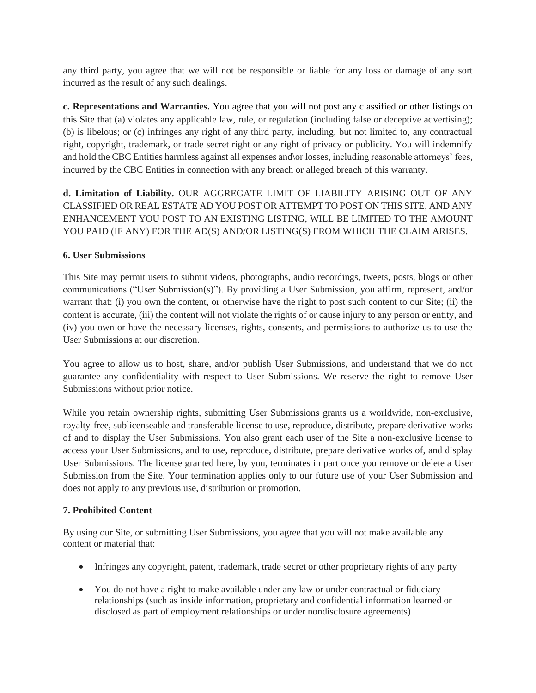any third party, you agree that we will not be responsible or liable for any loss or damage of any sort incurred as the result of any such dealings.

**c. Representations and Warranties.** You agree that you will not post any classified or other listings on this Site that (a) violates any applicable law, rule, or regulation (including false or deceptive advertising); (b) is libelous; or (c) infringes any right of any third party, including, but not limited to, any contractual right, copyright, trademark, or trade secret right or any right of privacy or publicity. You will indemnify and hold the CBC Entities harmless against all expenses and\or losses, including reasonable attorneys' fees, incurred by the CBC Entities in connection with any breach or alleged breach of this warranty.

**d. Limitation of Liability.** OUR AGGREGATE LIMIT OF LIABILITY ARISING OUT OF ANY CLASSIFIED OR REAL ESTATE AD YOU POST OR ATTEMPT TO POST ON THIS SITE, AND ANY ENHANCEMENT YOU POST TO AN EXISTING LISTING, WILL BE LIMITED TO THE AMOUNT YOU PAID (IF ANY) FOR THE AD(S) AND/OR LISTING(S) FROM WHICH THE CLAIM ARISES.

## <span id="page-2-0"></span>**6. User Submissions**

This Site may permit users to submit videos, photographs, audio recordings, tweets, posts, blogs or other communications ("User Submission(s)"). By providing a User Submission, you affirm, represent, and/or warrant that: (i) you own the content, or otherwise have the right to post such content to our Site; (ii) the content is accurate, (iii) the content will not violate the rights of or cause injury to any person or entity, and (iv) you own or have the necessary licenses, rights, consents, and permissions to authorize us to use the User Submissions at our discretion.

You agree to allow us to host, share, and/or publish User Submissions, and understand that we do not guarantee any confidentiality with respect to User Submissions. We reserve the right to remove User Submissions without prior notice.

While you retain ownership rights, submitting User Submissions grants us a worldwide, non-exclusive, royalty-free, sublicenseable and transferable license to use, reproduce, distribute, prepare derivative works of and to display the User Submissions. You also grant each user of the Site a non-exclusive license to access your User Submissions, and to use, reproduce, distribute, prepare derivative works of, and display User Submissions. The license granted here, by you, terminates in part once you remove or delete a User Submission from the Site. Your termination applies only to our future use of your User Submission and does not apply to any previous use, distribution or promotion.

# <span id="page-2-1"></span>**7. Prohibited Content**

By using our Site, or submitting User Submissions, you agree that you will not make available any content or material that:

- Infringes any copyright, patent, trademark, trade secret or other proprietary rights of any party
- You do not have a right to make available under any law or under contractual or fiduciary relationships (such as inside information, proprietary and confidential information learned or disclosed as part of employment relationships or under nondisclosure agreements)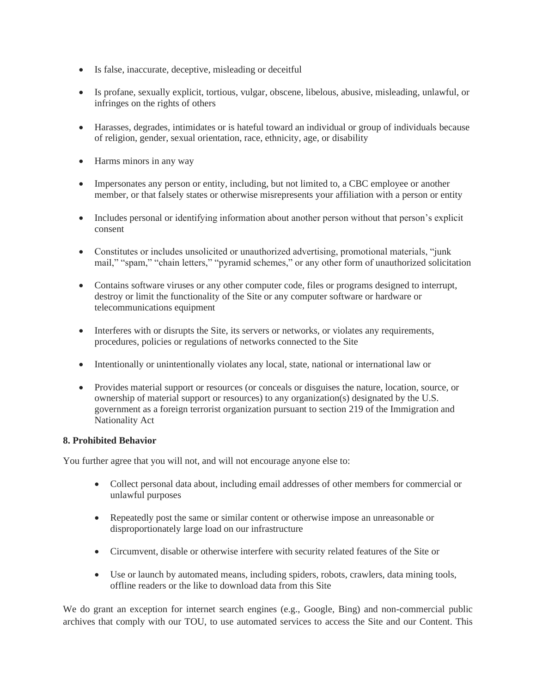- Is false, inaccurate, deceptive, misleading or deceitful
- Is profane, sexually explicit, tortious, vulgar, obscene, libelous, abusive, misleading, unlawful, or infringes on the rights of others
- Harasses, degrades, intimidates or is hateful toward an individual or group of individuals because of religion, gender, sexual orientation, race, ethnicity, age, or disability
- Harms minors in any way
- Impersonates any person or entity, including, but not limited to, a CBC employee or another member, or that falsely states or otherwise misrepresents your affiliation with a person or entity
- Includes personal or identifying information about another person without that person's explicit consent
- Constitutes or includes unsolicited or unauthorized advertising, promotional materials, "junk" mail," "spam," "chain letters," "pyramid schemes," or any other form of unauthorized solicitation
- Contains software viruses or any other computer code, files or programs designed to interrupt, destroy or limit the functionality of the Site or any computer software or hardware or telecommunications equipment
- Interferes with or disrupts the Site, its servers or networks, or violates any requirements, procedures, policies or regulations of networks connected to the Site
- Intentionally or unintentionally violates any local, state, national or international law or
- Provides material support or resources (or conceals or disguises the nature, location, source, or ownership of material support or resources) to any organization(s) designated by the U.S. government as a foreign terrorist organization pursuant to section 219 of the Immigration and Nationality Act

# <span id="page-3-0"></span>**8. Prohibited Behavior**

You further agree that you will not, and will not encourage anyone else to:

- Collect personal data about, including email addresses of other members for commercial or unlawful purposes
- Repeatedly post the same or similar content or otherwise impose an unreasonable or disproportionately large load on our infrastructure
- Circumvent, disable or otherwise interfere with security related features of the Site or
- Use or launch by automated means, including spiders, robots, crawlers, data mining tools, offline readers or the like to download data from this Site

We do grant an exception for internet search engines (e.g., Google, Bing) and non-commercial public archives that comply with our TOU, to use automated services to access the Site and our Content. This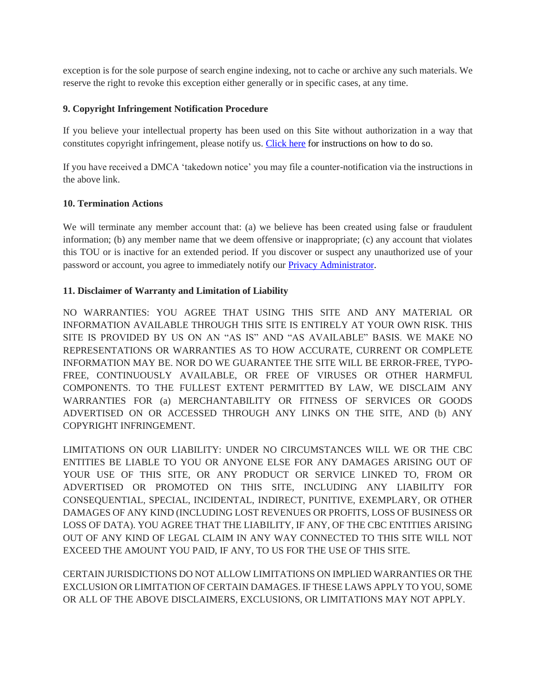exception is for the sole purpose of search engine indexing, not to cache or archive any such materials. We reserve the right to revoke this exception either generally or in specific cases, at any time.

## <span id="page-4-0"></span>**9. Copyright Infringement Notification Procedure**

If you believe your intellectual property has been used on this Site without authorization in a way that constitutes copyright infringement, please notify us. [Click here](https://www.wral.com/rs/page/1080203/) [for instructions on how to do so.](https://www.wral.com/rs/page/1080203/)

If you have received a DMCA 'takedown notice' you may file a counter-notification via the instructions in the above link.

#### <span id="page-4-1"></span>**10. Termination Actions**

We will terminate any member account that: (a) we believe has been created using false or fraudulent information; (b) any member name that we deem offensive or inappropriate; (c) any account that violates this TOU or is inactive for an extended period. If you discover or suspect any unauthorized use of your password or account, you agree to immediately notify our [Privacy Administrator.](mailto:privacy_admin@capitolbroadcasting.com?subject=DCMA%20Concern)

## <span id="page-4-2"></span>**11. Disclaimer of Warranty and Limitation of Liability**

NO WARRANTIES: YOU AGREE THAT USING THIS SITE AND ANY MATERIAL OR INFORMATION AVAILABLE THROUGH THIS SITE IS ENTIRELY AT YOUR OWN RISK. THIS SITE IS PROVIDED BY US ON AN "AS IS" AND "AS AVAILABLE" BASIS. WE MAKE NO REPRESENTATIONS OR WARRANTIES AS TO HOW ACCURATE, CURRENT OR COMPLETE INFORMATION MAY BE. NOR DO WE GUARANTEE THE SITE WILL BE ERROR-FREE, TYPO-FREE, CONTINUOUSLY AVAILABLE, OR FREE OF VIRUSES OR OTHER HARMFUL COMPONENTS. TO THE FULLEST EXTENT PERMITTED BY LAW, WE DISCLAIM ANY WARRANTIES FOR (a) MERCHANTABILITY OR FITNESS OF SERVICES OR GOODS ADVERTISED ON OR ACCESSED THROUGH ANY LINKS ON THE SITE, AND (b) ANY COPYRIGHT INFRINGEMENT.

LIMITATIONS ON OUR LIABILITY: UNDER NO CIRCUMSTANCES WILL WE OR THE CBC ENTITIES BE LIABLE TO YOU OR ANYONE ELSE FOR ANY DAMAGES ARISING OUT OF YOUR USE OF THIS SITE, OR ANY PRODUCT OR SERVICE LINKED TO, FROM OR ADVERTISED OR PROMOTED ON THIS SITE, INCLUDING ANY LIABILITY FOR CONSEQUENTIAL, SPECIAL, INCIDENTAL, INDIRECT, PUNITIVE, EXEMPLARY, OR OTHER DAMAGES OF ANY KIND (INCLUDING LOST REVENUES OR PROFITS, LOSS OF BUSINESS OR LOSS OF DATA). YOU AGREE THAT THE LIABILITY, IF ANY, OF THE CBC ENTITIES ARISING OUT OF ANY KIND OF LEGAL CLAIM IN ANY WAY CONNECTED TO THIS SITE WILL NOT EXCEED THE AMOUNT YOU PAID, IF ANY, TO US FOR THE USE OF THIS SITE.

CERTAIN JURISDICTIONS DO NOT ALLOW LIMITATIONS ON IMPLIED WARRANTIES OR THE EXCLUSION OR LIMITATION OF CERTAIN DAMAGES. IF THESE LAWS APPLY TO YOU, SOME OR ALL OF THE ABOVE DISCLAIMERS, EXCLUSIONS, OR LIMITATIONS MAY NOT APPLY.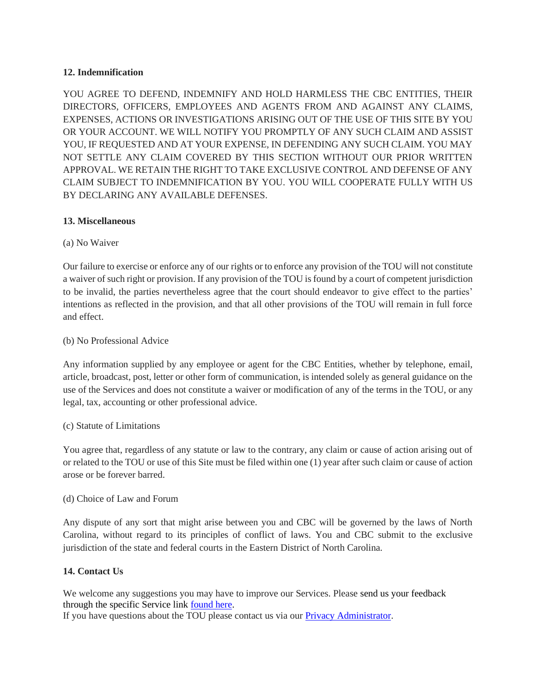# <span id="page-5-0"></span>**12. Indemnification**

YOU AGREE TO DEFEND, INDEMNIFY AND HOLD HARMLESS THE CBC ENTITIES, THEIR DIRECTORS, OFFICERS, EMPLOYEES AND AGENTS FROM AND AGAINST ANY CLAIMS, EXPENSES, ACTIONS OR INVESTIGATIONS ARISING OUT OF THE USE OF THIS SITE BY YOU OR YOUR ACCOUNT. WE WILL NOTIFY YOU PROMPTLY OF ANY SUCH CLAIM AND ASSIST YOU, IF REQUESTED AND AT YOUR EXPENSE, IN DEFENDING ANY SUCH CLAIM. YOU MAY NOT SETTLE ANY CLAIM COVERED BY THIS SECTION WITHOUT OUR PRIOR WRITTEN APPROVAL. WE RETAIN THE RIGHT TO TAKE EXCLUSIVE CONTROL AND DEFENSE OF ANY CLAIM SUBJECT TO INDEMNIFICATION BY YOU. YOU WILL COOPERATE FULLY WITH US BY DECLARING ANY AVAILABLE DEFENSES.

#### <span id="page-5-1"></span>**13. Miscellaneous**

#### (a) No Waiver

Our failure to exercise or enforce any of our rights or to enforce any provision of the TOU will not constitute a waiver of such right or provision. If any provision of the TOU is found by a court of competent jurisdiction to be invalid, the parties nevertheless agree that the court should endeavor to give effect to the parties' intentions as reflected in the provision, and that all other provisions of the TOU will remain in full force and effect.

#### (b) No Professional Advice

Any information supplied by any employee or agent for the CBC Entities, whether by telephone, email, article, broadcast, post, letter or other form of communication, is intended solely as general guidance on the use of the Services and does not constitute a waiver or modification of any of the terms in the TOU, or any legal, tax, accounting or other professional advice.

#### (c) Statute of Limitations

You agree that, regardless of any statute or law to the contrary, any claim or cause of action arising out of or related to the TOU or use of this Site must be filed within one (1) year after such claim or cause of action arose or be forever barred.

#### (d) Choice of Law and Forum

Any dispute of any sort that might arise between you and CBC will be governed by the laws of North Carolina, without regard to its principles of conflict of laws. You and CBC submit to the exclusive jurisdiction of the state and federal courts in the Eastern District of North Carolina.

#### <span id="page-5-2"></span>**14. Contact Us**

We welcome any suggestions you may have to improve our Services. Please [send us your feedback](https://www.wral.com/Contact-Us/1007423/) [through the specific Service link found here.](https://www.wral.com/Contact-Us/1007423/) If you have questions about the TOU please contact us via our **Privacy Administrator**.